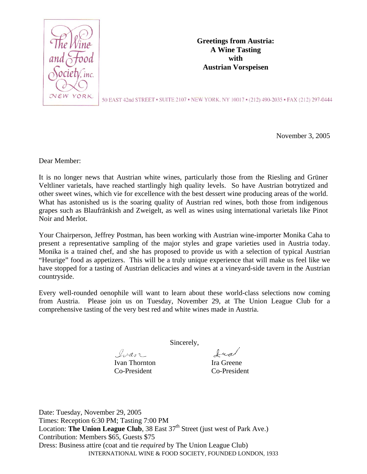

**Greetings from Austria: A Wine Tasting with Austrian Vorspeisen** 

50 EAST 42nd STREET • SUITE 2107 • NEW YORK, NY 10017 • (212) 490-2035 • FAX (212) 297-0444

November 3, 2005

Dear Member:

It is no longer news that Austrian white wines, particularly those from the Riesling and Grüner Veltliner varietals, have reached startlingly high quality levels. So have Austrian botrytized and other sweet wines, which vie for excellence with the best dessert wine producing areas of the world. What has astonished us is the soaring quality of Austrian red wines, both those from indigenous grapes such as Blaufränkish and Zweigelt, as well as wines using international varietals like Pinot Noir and Merlot.

Your Chairperson, Jeffrey Postman, has been working with Austrian wine-importer Monika Caha to present a representative sampling of the major styles and grape varieties used in Austria today. Monika is a trained chef, and she has proposed to provide us with a selection of typical Austrian "Heurige" food as appetizers. This will be a truly unique experience that will make us feel like we have stopped for a tasting of Austrian delicacies and wines at a vineyard-side tavern in the Austrian countryside.

Every well-rounded oenophile will want to learn about these world-class selections now coming from Austria. Please join us on Tuesday, November 29, at The Union League Club for a comprehensive tasting of the very best red and white wines made in Austria.

Sincerely,

Ivan Ivan Thornton Ira Greene Co-President Co-President

Iral

INTERNATIONAL WINE & FOOD SOCIETY, FOUNDED LONDON, 1933 Date: Tuesday, November 29, 2005 Times: Reception 6:30 PM; Tasting 7:00 PM Location: **The Union League Club**, 38 East  $37<sup>th</sup>$  Street (just west of Park Ave.) Contribution: Members \$65, Guests \$75 Dress: Business attire (coat and tie *required* by The Union League Club)